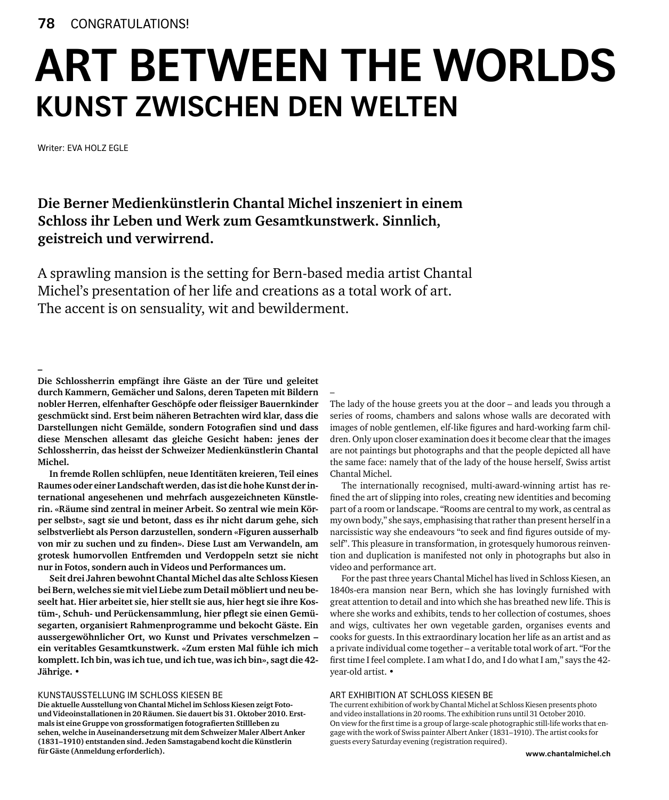## **art between the worlds Kunst zwischen den welten**

–

Writer: Eva Holz EGLE

**Die Berner Medienkünstlerin Chantal Michel inszeniert in einem Schloss ihr Leben und Werk zum Gesamtkunstwerk. Sinnlich, geistreich und verwirrend.**

A sprawling mansion is the setting for Bern-based media artist Chantal Michel's presentation of her life and creations as a total work of art. The accent is on sensuality, wit and bewilderment.

**–**

**Die Schlossherrin empfängt ihre Gäste an der Türe und geleitet durch Kammern, Gemächer und Salons, deren Tapeten mit Bildern nobler Herren, elfenhafter Geschöpfe oder fleissiger Bauernkinder geschmückt sind. Erst beim näheren Betrachten wird klar, dass die Darstellungen nicht Gemälde, sondern Fotografien sind und dass diese Menschen allesamt das gleiche Gesicht haben: jenes der Schlossherrin, das heisst der Schweizer Medienkünstlerin Chantal Michel.**

**In fremde Rollen schlüpfen, neue Identitäten kreieren, Teil eines Raumes oder einer Landschaft werden, das ist die hohe Kunst der international angesehenen und mehrfach ausgezeichneten Künstlerin. «Räume sind zentral in meiner Arbeit. So zentral wie mein Körper selbst», sagt sie und betont, dass es ihr nicht darum gehe, sich selbstverliebt als Person darzustellen, sondern «Figuren ausserhalb von mir zu suchen und zu finden». Diese Lust am Verwandeln, am grotesk humorvollen Entfremden und Verdoppeln setzt sie nicht nur in Fotos, sondern auch in Videos und Performances um.**

**Seit drei Jahren bewohnt Chantal Michel das alte Schloss Kiesen bei Bern, welches sie mit viel Liebe zum Detail möbliert und neu beseelt hat. Hier arbeitet sie, hier stellt sie aus, hier hegt sie ihre Kostüm-, Schuh- und Perückensammlung, hier pflegt sie einen Gemüsegarten, organisiert Rahmenprogramme und bekocht Gäste. Ein aussergewöhnlicher Ort, wo Kunst und Privates verschmelzen – ein veritables Gesamtkunstwerk. «Zum ersten Mal fühle ich mich komplett. Ich bin, was ich tue, und ich tue, was ich bin», sagt die 42- Jährige. •**

## Kunstausstellung im Schloss Kiesen BE

**Die aktuelle Ausstellung von Chantal Michel im Schloss Kiesen zeigt Fotound Videoinstallationen in 20 Räumen. Sie dauert bis 31. Oktober 2010. Erstmals ist eine Gruppe von grossformatigen fotografierten Stillleben zu sehen, welche in Auseinandersetzung mit dem Schweizer Maler Albert Anker (1831–1910) entstanden sind. Jeden Samstagabend kocht die Künstlerin für Gäste (Anmeldung erforderlich).**

The lady of the house greets you at the door – and leads you through a series of rooms, chambers and salons whose walls are decorated with images of noble gentlemen, elf-like figures and hard-working farm children. Only upon closer examination does it become clear that the images are not paintings but photographs and that the people depicted all have the same face: namely that of the lady of the house herself, Swiss artist Chantal Michel.

The internationally recognised, multi-award-winning artist has refined the art of slipping into roles, creating new identities and becoming part of a room or landscape. "Rooms are central to my work, as central as my own body," she says, emphasising that rather than present herself in a narcissistic way she endeavours "to seek and find figures outside of myself". This pleasure in transformation, in grotesquely humorous reinvention and duplication is manifested not only in photographs but also in video and performance art.

For the past three years Chantal Michel has lived in Schloss Kiesen, an 1840s-era mansion near Bern, which she has lovingly furnished with great attention to detail and into which she has breathed new life. This is where she works and exhibits, tends to her collection of costumes, shoes and wigs, cultivates her own vegetable garden, organises events and cooks for guests. In this extraordinary location her life as an artist and as a private individual come together – a veritable total work of art. "For the first time I feel complete. I am what I do, and I do what I am," says the 42 year-old artist. **•**

## Art exhibition at Schloss Kiesen BE

The current exhibition of work by Chantal Michel at Schloss Kiesen presents photo and video installations in 20 rooms. The exhibition runs until 31 October 2010. On view for the first time is a group of large-scale photographic still-life works that engage with the work of Swiss painter Albert Anker (1831–1910). The artist cooks for guests every Saturday evening (registration required).